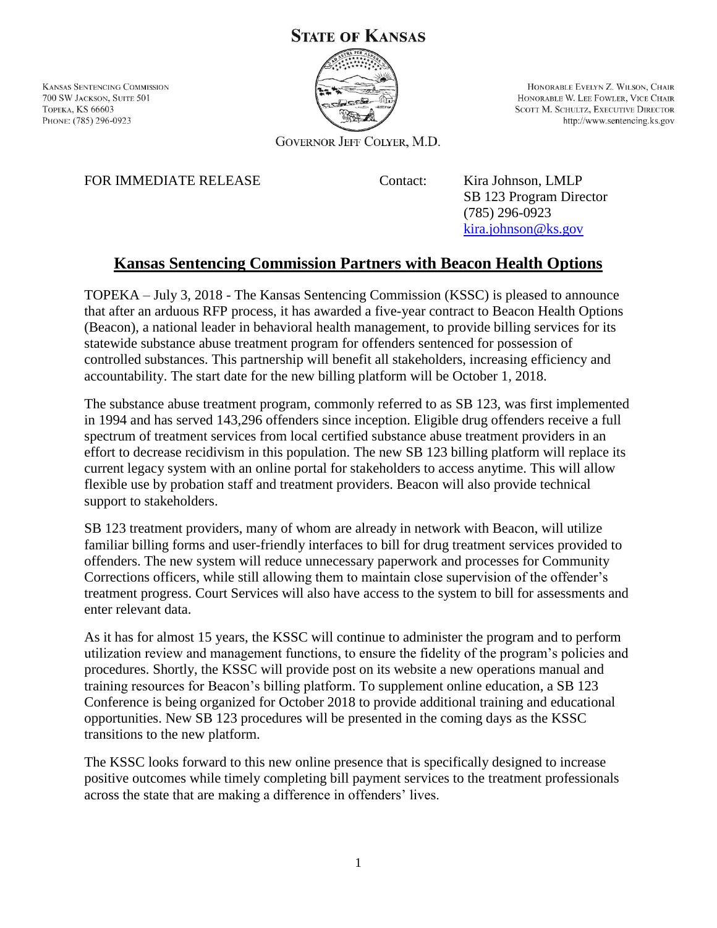## **STATE OF KANSAS**

**KANSAS SENTENCING COMMISSION** 700 SW JACKSON, SUITE 501 **ТОРЕКА, KS 66603** PHONE: (785) 296-0923



HONORABLE EVELYN Z. WILSON, CHAIR HONORABLE W. LEE FOWLER, VICE CHAIR **SCOTT M. SCHULTZ, EXECUTIVE DIRECTOR** http://www.sentencing.ks.gov

**GOVERNOR JEFF COLYER, M.D.** 

FOR IMMEDIATE RELEASE Contact: Kira Johnson, LMLP

SB 123 Program Director (785) 296-0923 [kira.johnson@ks.gov](mailto:kira.johnson@ks.gov)

## **Kansas Sentencing Commission Partners with Beacon Health Options**

TOPEKA – July 3, 2018 - The Kansas Sentencing Commission (KSSC) is pleased to announce that after an arduous RFP process, it has awarded a five-year contract to Beacon Health Options (Beacon), a national leader in behavioral health management, to provide billing services for its statewide substance abuse treatment program for offenders sentenced for possession of controlled substances. This partnership will benefit all stakeholders, increasing efficiency and accountability. The start date for the new billing platform will be October 1, 2018.

The substance abuse treatment program, commonly referred to as SB 123, was first implemented in 1994 and has served 143,296 offenders since inception. Eligible drug offenders receive a full spectrum of treatment services from local certified substance abuse treatment providers in an effort to decrease recidivism in this population. The new SB 123 billing platform will replace its current legacy system with an online portal for stakeholders to access anytime. This will allow flexible use by probation staff and treatment providers. Beacon will also provide technical support to stakeholders.

SB 123 treatment providers, many of whom are already in network with Beacon, will utilize familiar billing forms and user-friendly interfaces to bill for drug treatment services provided to offenders. The new system will reduce unnecessary paperwork and processes for Community Corrections officers, while still allowing them to maintain close supervision of the offender's treatment progress. Court Services will also have access to the system to bill for assessments and enter relevant data.

As it has for almost 15 years, the KSSC will continue to administer the program and to perform utilization review and management functions, to ensure the fidelity of the program's policies and procedures. Shortly, the KSSC will provide post on its website a new operations manual and training resources for Beacon's billing platform. To supplement online education, a SB 123 Conference is being organized for October 2018 to provide additional training and educational opportunities. New SB 123 procedures will be presented in the coming days as the KSSC transitions to the new platform.

The KSSC looks forward to this new online presence that is specifically designed to increase positive outcomes while timely completing bill payment services to the treatment professionals across the state that are making a difference in offenders' lives.